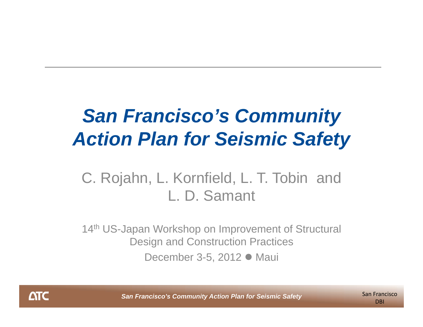### *San Francisco's Community Action Plan for Seismic Safety*

#### C. Rojahn, L. Kornfield, L. T. Tobin and L. D. Samant

14<sup>th</sup> US-Japan Workshop on Improvement of Structural Design and Construction Practices December 3-5, 2012 ● Maui

**ATC** 

**San Francisco's Community Action Plan for Seismic Safety** San Francisco Community Action Plan for Seismic Safety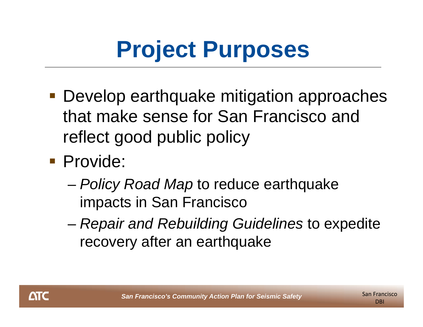## **Project Purposes**

- **Develop earthquake mitigation approaches** that make sense for San Francisco and reflect good public policy
- **Provide:** 
	- – *Policy Road Map* to reduce earthquake impacts in San Francisco
	- – *Repair and Rebuilding Guidelines* to expedite recovery after an earthquake

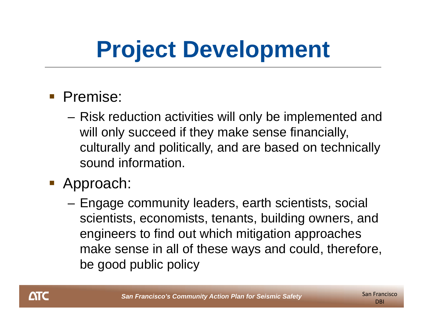## **Project Development**

- **Premise:** 
	- Risk reduction activities will only be implemented and will only succeed if they make sense financially, culturally and politically, and are based on technically sound information.
- **Approach:** 
	- Engage community leaders, earth scientists, social scientists, economists, tenants, building owners, and engineers to find out which mitigation approaches make sense in all of these ways and could, therefore, be good public policy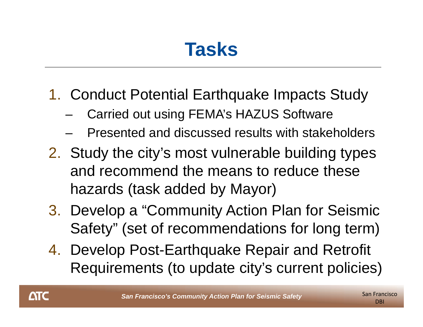### **Tasks**

- 1. Conduct Potential Earthquake Impacts Study
	- –Carried out using FEMA's HAZUS Software
	- –Presented and discussed results with stakeholders
- 2. Study the city's most vulnerable building types and recommend the means to reduce these hazards (task added by Mayor)
- 3. Develop a "Community Action Plan for Seismic Safety" (set of recommendations for long term)
- 4. Develop Post-Earthquake Repair and Retrofit Requirements (to update city's current policies)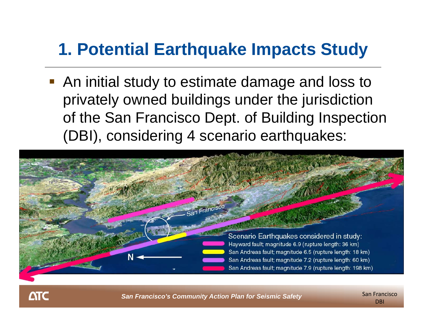#### **1. Potential Earthquake Impacts Study**

**An initial study to estimate damage and loss to** privately owned buildings under the jurisdiction of the San Francisco Dept. of Building Inspection (DBI), considering 4 scenario earthquakes:



**ATC** 

**San Francisco's Community Action Plan for Seismic Safety** San Examples San Francisco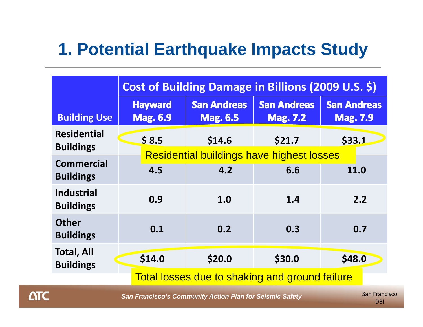#### **1. Potential Earthquake Impacts Study**

|                                        |                                   | Cost of Building Damage in Billions (2009 U.S. \$) |                                       |                                                         |                                       |     |  |  |
|----------------------------------------|-----------------------------------|----------------------------------------------------|---------------------------------------|---------------------------------------------------------|---------------------------------------|-----|--|--|
| <b>Building Use</b>                    | <b>Hayward</b><br><b>Mag. 6.9</b> |                                                    | <b>San Andreas</b><br><b>Mag. 6.5</b> | <b>San Andreas</b><br><b>Mag. 7.2</b>                   | <b>San Andreas</b><br><b>Mag. 7.9</b> |     |  |  |
| <b>Residential</b><br><b>Buildings</b> |                                   | \$8.5                                              | \$14.6                                | \$21.7                                                  | \$33.1                                |     |  |  |
| <b>Commercial</b><br><b>Buildings</b>  |                                   | 4.5                                                | 4.2                                   | <b>Residential buildings have highest losses</b><br>6.6 | 11.0                                  |     |  |  |
| <b>Industrial</b><br><b>Buildings</b>  |                                   | 0.9                                                | 1.0                                   | 1.4                                                     |                                       | 2.2 |  |  |
| <b>Other</b><br><b>Buildings</b>       |                                   | 0.1                                                | 0.2                                   | 0.3                                                     |                                       | 0.7 |  |  |
| <b>Total, All</b><br><b>Buildings</b>  |                                   | \$14.0                                             | \$20.0                                | \$30.0                                                  | \$48.0                                |     |  |  |
|                                        |                                   | Total losses due to shaking and ground failure     |                                       |                                                         |                                       |     |  |  |

**San Francisco's Community Action Plan for Seismic Safety** San Francisco San Francisco

**ATC**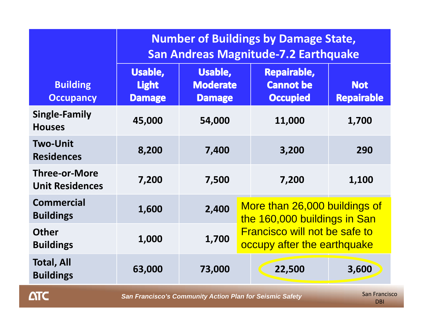|                                                | <b>Number of Buildings by Damage State,</b><br><b>San Andreas Magnitude-7.2 Earthquake</b> |                                                                 |                                                                                                                                      |                                 |  |  |
|------------------------------------------------|--------------------------------------------------------------------------------------------|-----------------------------------------------------------------|--------------------------------------------------------------------------------------------------------------------------------------|---------------------------------|--|--|
| <b>Building</b><br><b>Occupancy</b>            | Usable,<br><b>Light</b><br><b>Damage</b>                                                   | Usable,<br><b>Moderate</b><br><b>Damage</b>                     | <b>Repairable,</b><br><b>Cannot be</b><br><b>Occupied</b>                                                                            | <b>Not</b><br><b>Repairable</b> |  |  |
| <b>Single-Family</b><br><b>Houses</b>          | 45,000                                                                                     | 54,000                                                          | 11,000                                                                                                                               | 1,700                           |  |  |
| <b>Two-Unit</b><br><b>Residences</b>           | 8,200                                                                                      | 7,400                                                           | 3,200                                                                                                                                | 290                             |  |  |
| <b>Three-or-More</b><br><b>Unit Residences</b> | 7,200                                                                                      | 7,500                                                           | 7,200                                                                                                                                | 1,100                           |  |  |
| <b>Commercial</b><br><b>Buildings</b>          | 1,600                                                                                      | 2,400                                                           | More than 26,000 buildings of<br>the 160,000 buildings in San<br><b>Francisco will not be safe to</b><br>occupy after the earthquake |                                 |  |  |
| <b>Other</b><br><b>Buildings</b>               | 1,000                                                                                      | 1,700                                                           |                                                                                                                                      |                                 |  |  |
| <b>Total, All</b><br><b>Buildings</b>          | 63,000                                                                                     | 73,000                                                          | 22,500                                                                                                                               | 3,600                           |  |  |
| <b>ATC</b>                                     |                                                                                            | <b>San Francisco's Community Action Plan for Seismic Safety</b> |                                                                                                                                      | <b>San Francisco</b><br>DBI     |  |  |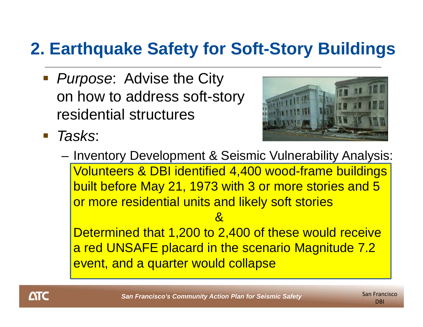### **2. Earthquake Safety for Soft-Story Buildings**

 *Purpose*: Advise the City on how to address soft-story residential structures



- $\overline{\mathbb{R}^n}$  *Tasks*:
	- Inventory Development & Seismic Vulnerability Analysis: Volunteers & DBI identified 4,400 wood-frame buildings built before May 21, 1973 with 3 or more stories and 5 or more residential units and likely soft stories  $\mathcal{R}$ Determined that 1,200 to 2,400 of these would receive a red UNSAFE placard in the scenario Magnitude 7.2 event, and a quarter would collapse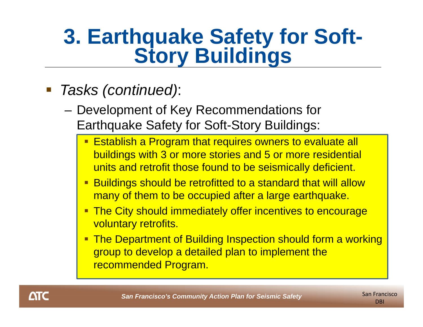# **3. Earthquake Safety for Soft- Story Buildings**

- *Tasks (continued)*:
	- Development of Key Recommendations for Earthquake Safety for Soft-Story Buildings:
		- **E** Establish a Program that requires owners to evaluate all buildings with 3 or more stories and 5 or more residential units and retrofit those found to be seismically deficient.
		- Buildings should be retrofitted to a standard that will allow many of them to be occupied after a large earthquake.
		- **The City should immediately offer incentives to encourage** voluntary retrofits.
		- **The Department of Building Inspection should form a working** group to develop a detailed plan to implement the recommended Program.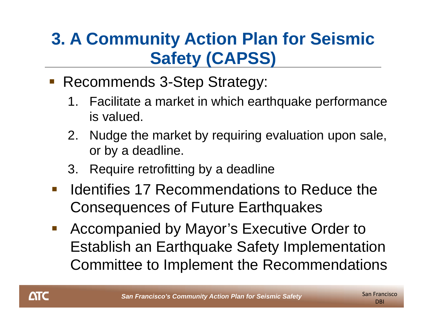### **3. A Community Action Plan for Seismic Safety (CAPSS)**

- Recommends 3-Step Strategy:
	- 1. Facilitate a market in which earthquake performance is valued.
	- 2. Nudge the market by requiring evaluation upon sale, or by a deadline.
	- 3. Require retrofitting by a deadline
- $\mathcal{L}^{\text{max}}_{\text{max}}$  Identifies 17 Recommendations to Reduce the Consequences of Future Earthquakes
- $\mathcal{L}_{\rm{eff}}$  Accompanied by Mayor's Executive Order to Establish an Earthquake Safety Implementation Committee to Implement the Recommendations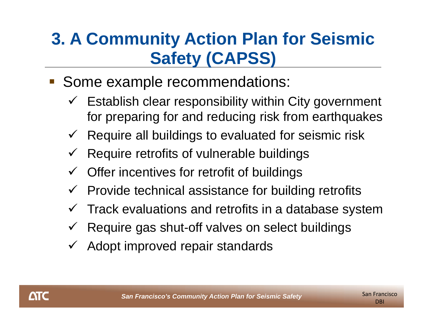### **3. A Community Action Plan for Seismic Safety (CAPSS)**

- **Some example recommendations:** 
	- $\checkmark$  Establish clear responsibility within City government for preparing for and reducing risk from earthquakes
	- $\checkmark$  Require all buildings to evaluated for seismic risk
	- $\checkmark$ Require retrofits of vulnerable buildings
	- $\checkmark$ Offer incentives for retrofit of buildings
	- $\checkmark$  Provide technical assistance for building retrofits
	- $\checkmark$ Track evaluations and retrofits in a database system
	- $\checkmark$  Require gas shut-off valves on select buildings
	- $\checkmark$  Adopt improved repair standards

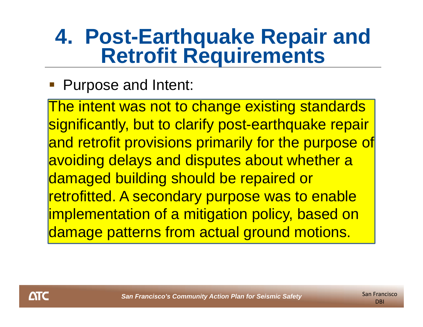# **4. Post-Earthquake Repair and Retrofit Requirements**

Purpose and Intent:

The intent was not to change existing standards significantly, but to clarify post-earthquake repair and retrofit provisions primarily for the purpose of avoiding delays and disputes about whether a damaged building should be repaired or retrofitted. A secondary purpose was to enable implementation of a mitigation policy, based on damage patterns from actual ground motions.

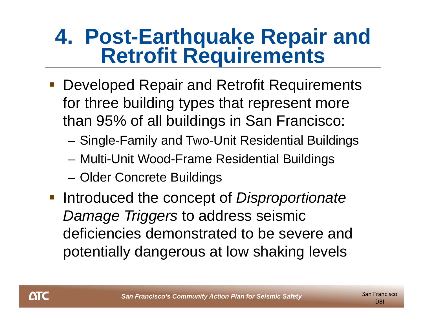# **4. Post-Earthquake Repair and Retrofit Requirements**

- **Developed Repair and Retrofit Requirements** for three building types that represent more than 95% of all buildings in San Francisco:
	- Single-Family and Two-Unit Residential Buildings
	- Multi-Unit Wood-Frame Residential Buildings
	- Older Concrete Buildings
- **Introduced the concept of** *Disproportionate Damage Triggers* to address seismic deficiencies demonstrated to be severe and potentially dangerous at low shaking levels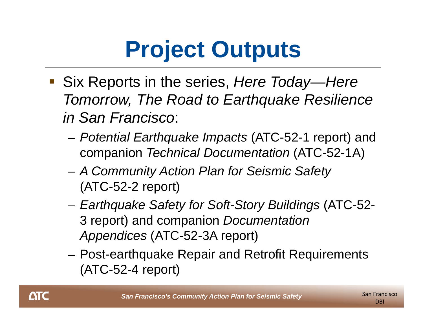## **Project Outputs**

- Six Reports in the series, *Here Today—Here Tomorrow, The Road to Earthquake Resilience in San Francisco*:
	- *Potential Earthquake Impacts* (ATC-52-1 report) and companion *Technical Documentation* (ATC-52-1A)
	- – *A Community Action Plan for Seismic Safety*  (ATC-52-2 report)
	- *Earthquake Safety for Soft-Story Buildings* (ATC-52- 3 report) and companion *Documentation Appendices* (ATC-52-3A report)
	- Post-earthquake Repair and Retrofit Requirements (ATC-52-4 report)